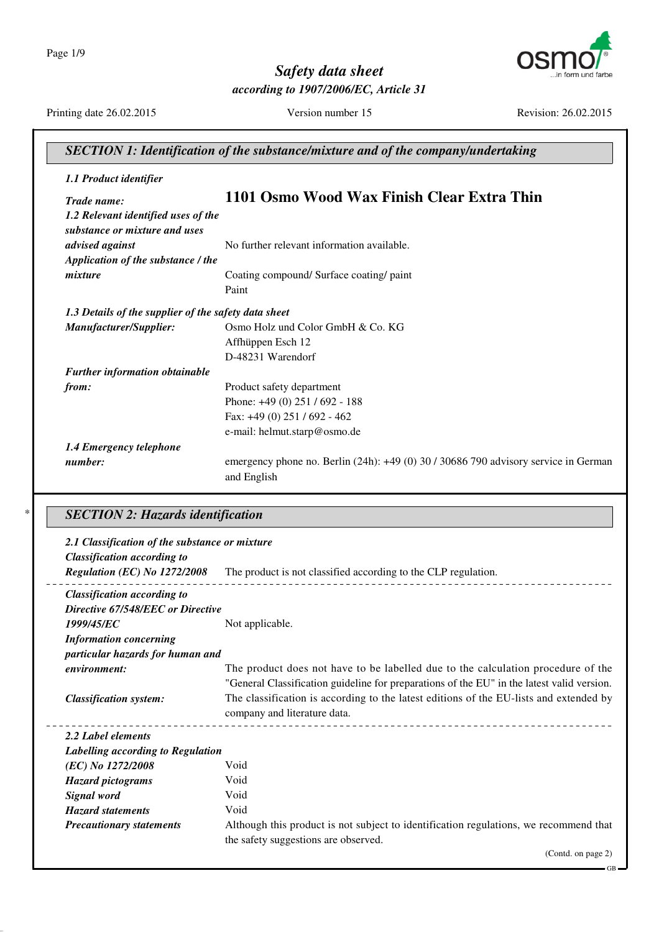Page 1/9



*Safety data sheet according to 1907/2006/EC, Article 31*

Printing date 26.02.2015 Version number 15 Revision: 26.02.2015

GB

## *SECTION 1: Identification of the substance/mixture and of the company/undertaking 1.1 Product identifier Trade name:* **1101 Osmo Wood Wax Finish Clear Extra Thin** *1.2 Relevant identified uses of the substance or mixture and uses advised against* No further relevant information available. *Application of the substance / the mixture* Coating compound/ Surface coating/ paint Paint *1.3 Details of the supplier of the safety data sheet Manufacturer/Supplier:* Osmo Holz und Color GmbH & Co. KG Affhüppen Esch 12 D-48231 Warendorf *Further information obtainable from:* Product safety department Phone: +49 (0) 251 / 692 - 188 Fax: +49 (0) 251 / 692 - 462 e-mail: helmut.starp@osmo.de *1.4 Emergency telephone number*: emergency phone no. Berlin (24h): +49 (0) 30 / 30686 790 advisory service in German and English

#### \* *SECTION 2: Hazards identification*

| 2.1 Classification of the substance or mixture<br><b>Classification according to</b> |                                                                                            |
|--------------------------------------------------------------------------------------|--------------------------------------------------------------------------------------------|
| Regulation (EC) No 1272/2008                                                         | The product is not classified according to the CLP regulation.                             |
| <b>Classification according to</b>                                                   |                                                                                            |
| Directive 67/548/EEC or Directive                                                    |                                                                                            |
| 1999/45/EC                                                                           | Not applicable.                                                                            |
| <b>Information concerning</b>                                                        |                                                                                            |
| particular hazards for human and                                                     |                                                                                            |
| environment:                                                                         | The product does not have to be labelled due to the calculation procedure of the           |
|                                                                                      | "General Classification guideline for preparations of the EU" in the latest valid version. |
| <b>Classification system:</b>                                                        | The classification is according to the latest editions of the EU-lists and extended by     |
|                                                                                      | company and literature data.                                                               |
| 2.2 Label elements                                                                   |                                                                                            |
| Labelling according to Regulation                                                    |                                                                                            |
| (EC) No 1272/2008                                                                    | Void                                                                                       |
| <b>Hazard pictograms</b>                                                             | Void                                                                                       |
| Signal word                                                                          | Void                                                                                       |
| <b>Hazard statements</b>                                                             | Void                                                                                       |
| <b>Precautionary statements</b>                                                      | Although this product is not subject to identification regulations, we recommend that      |
|                                                                                      | the safety suggestions are observed.                                                       |
|                                                                                      | (Contd. on page 2)                                                                         |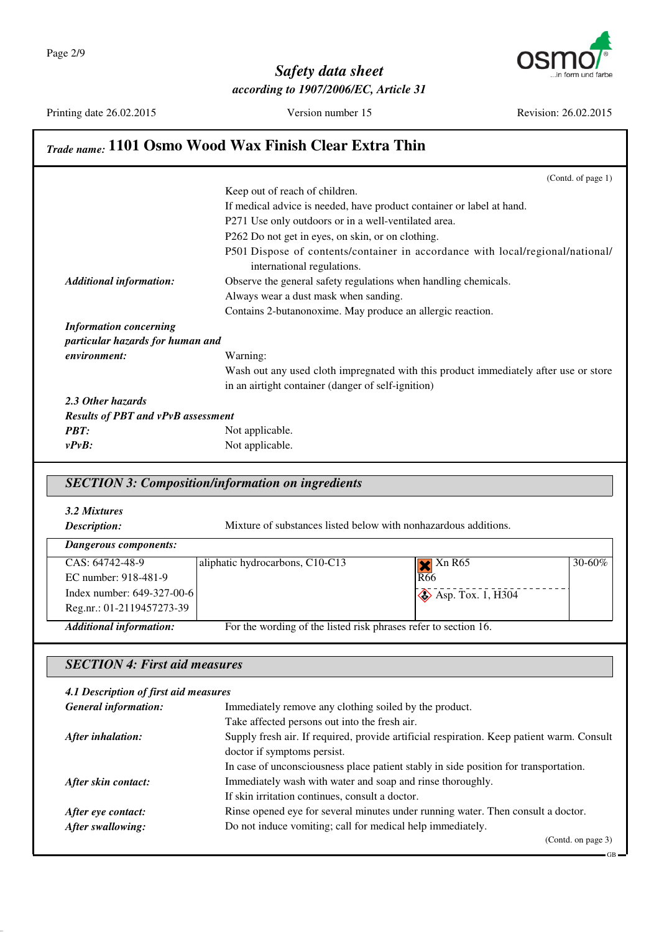

Printing date 26.02.2015 Version number 15 Revision: 26.02.2015

GB

# *Trade name:* **1101 Osmo Wood Wax Finish Clear Extra Thin**

|                                           | Keep out of reach of children.                                                                               |
|-------------------------------------------|--------------------------------------------------------------------------------------------------------------|
|                                           |                                                                                                              |
|                                           | If medical advice is needed, have product container or label at hand.                                        |
|                                           | P271 Use only outdoors or in a well-ventilated area.                                                         |
|                                           | P262 Do not get in eyes, on skin, or on clothing.                                                            |
|                                           | P501 Dispose of contents/container in accordance with local/regional/national/<br>international regulations. |
| <b>Additional information:</b>            | Observe the general safety regulations when handling chemicals.                                              |
|                                           | Always wear a dust mask when sanding.                                                                        |
|                                           | Contains 2-butanonoxime. May produce an allergic reaction.                                                   |
| <b>Information concerning</b>             |                                                                                                              |
| particular hazards for human and          |                                                                                                              |
| environment:                              | Warning:                                                                                                     |
|                                           | Wash out any used cloth impregnated with this product immediately after use or store                         |
|                                           | in an airtight container (danger of self-ignition)                                                           |
| 2.3 Other hazards                         |                                                                                                              |
| <b>Results of PBT and vPvB assessment</b> |                                                                                                              |
| <b>PBT:</b>                               | Not applicable.                                                                                              |
| $v P v B$ :                               | Not applicable.                                                                                              |

## *SECTION 3: Composition/information on ingredients*

*3.2 Mixtures*

**Description:** Mixture of substances listed below with nonhazardous additions.

| aliphatic hydrocarbons, C10-C13 | $\blacktriangleright$ Xn R65                            | $30 - 60\%$                                                                                            |
|---------------------------------|---------------------------------------------------------|--------------------------------------------------------------------------------------------------------|
|                                 |                                                         |                                                                                                        |
|                                 |                                                         |                                                                                                        |
|                                 |                                                         |                                                                                                        |
|                                 |                                                         |                                                                                                        |
|                                 | Index number: 649-327-00-6<br>Reg.nr.: 01-2119457273-39 | R66<br>$\diamond$ Asp. Tox. 1, H304<br>For the wording of the listed risk phrases refer to section 16. |

## *SECTION 4: First aid measures*

| 4.1 Description of first aid measures |                                                                                           |  |
|---------------------------------------|-------------------------------------------------------------------------------------------|--|
| <b>General information:</b>           | Immediately remove any clothing soiled by the product.                                    |  |
|                                       | Take affected persons out into the fresh air.                                             |  |
| After inhalation:                     | Supply fresh air. If required, provide artificial respiration. Keep patient warm. Consult |  |
|                                       | doctor if symptoms persist.                                                               |  |
|                                       | In case of unconsciousness place patient stably in side position for transportation.      |  |
| After skin contact:                   | Immediately wash with water and soap and rinse thoroughly.                                |  |
|                                       | If skin irritation continues, consult a doctor.                                           |  |
| After eye contact:                    | Rinse opened eye for several minutes under running water. Then consult a doctor.          |  |
| After swallowing:                     | Do not induce vomiting; call for medical help immediately.                                |  |
|                                       | (Contd. on page 3)                                                                        |  |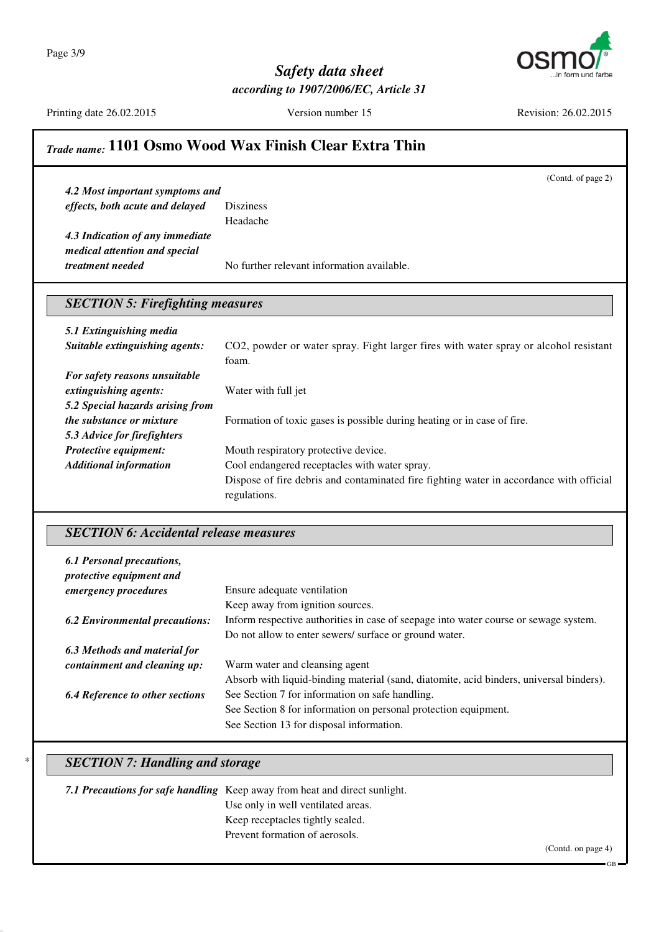Page 3/9



## *Safety data sheet according to 1907/2006/EC, Article 31*

Printing date 26.02.2015 Version number 15 Revision: 26.02.2015

(Contd. of page 2)

# *Trade name:* **1101 Osmo Wood Wax Finish Clear Extra Thin**

*4.2 Most important symptoms and effects, both acute and delayed* Disziness Headache

*4.3 Indication of any immediate medical attention and special treatment needed* No further relevant information available.

## *SECTION 5: Firefighting measures*

| 5.1 Extinguishing media          |                                                                                         |
|----------------------------------|-----------------------------------------------------------------------------------------|
| Suitable extinguishing agents:   | CO2, powder or water spray. Fight larger fires with water spray or alcohol resistant    |
|                                  | foam.                                                                                   |
| For safety reasons unsuitable    |                                                                                         |
| extinguishing agents:            | Water with full jet                                                                     |
| 5.2 Special hazards arising from |                                                                                         |
| <i>the substance or mixture</i>  | Formation of toxic gases is possible during heating or in case of fire.                 |
| 5.3 Advice for firefighters      |                                                                                         |
| Protective equipment:            | Mouth respiratory protective device.                                                    |
| <b>Additional information</b>    | Cool endangered receptacles with water spray.                                           |
|                                  | Dispose of fire debris and contaminated fire fighting water in accordance with official |
|                                  | regulations.                                                                            |

## *SECTION 6: Accidental release measures*

| 6.1 Personal precautions,<br>protective equipment and |                                                                                         |
|-------------------------------------------------------|-----------------------------------------------------------------------------------------|
| emergency procedures                                  | Ensure adequate ventilation                                                             |
|                                                       | Keep away from ignition sources.                                                        |
| <b>6.2 Environmental precautions:</b>                 | Inform respective authorities in case of seepage into water course or sewage system.    |
|                                                       | Do not allow to enter sewers/ surface or ground water.                                  |
| 6.3 Methods and material for                          |                                                                                         |
| containment and cleaning up:                          | Warm water and cleansing agent                                                          |
|                                                       | Absorb with liquid-binding material (sand, diatomite, acid binders, universal binders). |
| <b>6.4 Reference to other sections</b>                | See Section 7 for information on safe handling.                                         |
|                                                       | See Section 8 for information on personal protection equipment.                         |
|                                                       | See Section 13 for disposal information.                                                |

## **SECTION 7: Handling and storage**

*7.1 Precautions for safe handling* Keep away from heat and direct sunlight. Use only in well ventilated areas. Keep receptacles tightly sealed. Prevent formation of aerosols.

GB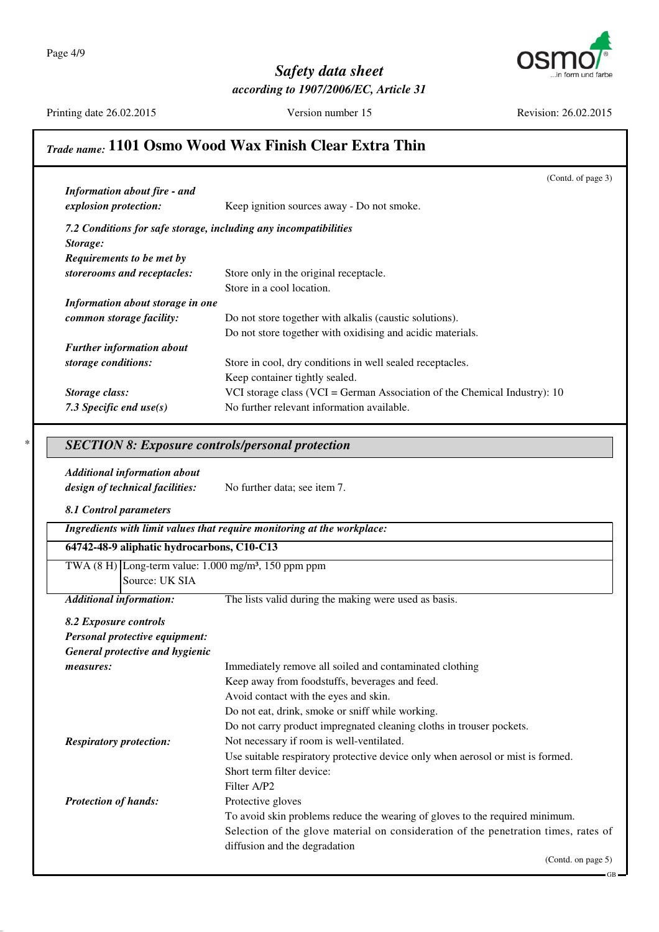

Printing date 26.02.2015 Version number 15 Revision: 26.02.2015

# *Trade name:* **1101 Osmo Wood Wax Finish Clear Extra Thin**

|                                                                            | (Contd. of page 3)                                                                  |
|----------------------------------------------------------------------------|-------------------------------------------------------------------------------------|
| <b>Information about fire - and</b>                                        |                                                                                     |
| explosion protection:                                                      | Keep ignition sources away - Do not smoke.                                          |
| 7.2 Conditions for safe storage, including any incompatibilities           |                                                                                     |
| Storage:                                                                   |                                                                                     |
| Requirements to be met by                                                  |                                                                                     |
| storerooms and receptacles:                                                | Store only in the original receptacle.                                              |
|                                                                            | Store in a cool location.                                                           |
| Information about storage in one                                           |                                                                                     |
| common storage facility:                                                   | Do not store together with alkalis (caustic solutions).                             |
|                                                                            | Do not store together with oxidising and acidic materials.                          |
| <b>Further information about</b>                                           |                                                                                     |
| storage conditions:                                                        | Store in cool, dry conditions in well sealed receptacles.                           |
|                                                                            | Keep container tightly sealed.                                                      |
| Storage class:                                                             | VCI storage class (VCI = German Association of the Chemical Industry): 10           |
| 7.3 Specific end $use(s)$                                                  | No further relevant information available.                                          |
|                                                                            |                                                                                     |
| <b>SECTION 8: Exposure controls/personal protection</b>                    |                                                                                     |
|                                                                            |                                                                                     |
| <b>Additional information about</b>                                        |                                                                                     |
| design of technical facilities:                                            | No further data; see item 7.                                                        |
|                                                                            |                                                                                     |
|                                                                            |                                                                                     |
| 8.1 Control parameters                                                     |                                                                                     |
|                                                                            | Ingredients with limit values that require monitoring at the workplace:             |
| 64742-48-9 aliphatic hydrocarbons, C10-C13                                 |                                                                                     |
| TWA $(8 \text{ H})$ Long-term value: 1.000 mg/m <sup>3</sup> , 150 ppm ppm |                                                                                     |
| Source: UK SIA                                                             |                                                                                     |
| <b>Additional information:</b>                                             | The lists valid during the making were used as basis.                               |
|                                                                            |                                                                                     |
| 8.2 Exposure controls                                                      |                                                                                     |
| Personal protective equipment:                                             |                                                                                     |
| General protective and hygienic                                            |                                                                                     |
| measures:                                                                  | Immediately remove all soiled and contaminated clothing                             |
|                                                                            | Keep away from foodstuffs, beverages and feed.                                      |
|                                                                            | Avoid contact with the eyes and skin.                                               |
|                                                                            | Do not eat, drink, smoke or sniff while working.                                    |
|                                                                            | Do not carry product impregnated cleaning cloths in trouser pockets.                |
| <b>Respiratory protection:</b>                                             | Not necessary if room is well-ventilated.                                           |
|                                                                            | Use suitable respiratory protective device only when aerosol or mist is formed.     |
|                                                                            | Short term filter device:                                                           |
|                                                                            | Filter A/P2                                                                         |
| <b>Protection of hands:</b>                                                | Protective gloves                                                                   |
|                                                                            | To avoid skin problems reduce the wearing of gloves to the required minimum.        |
|                                                                            | Selection of the glove material on consideration of the penetration times, rates of |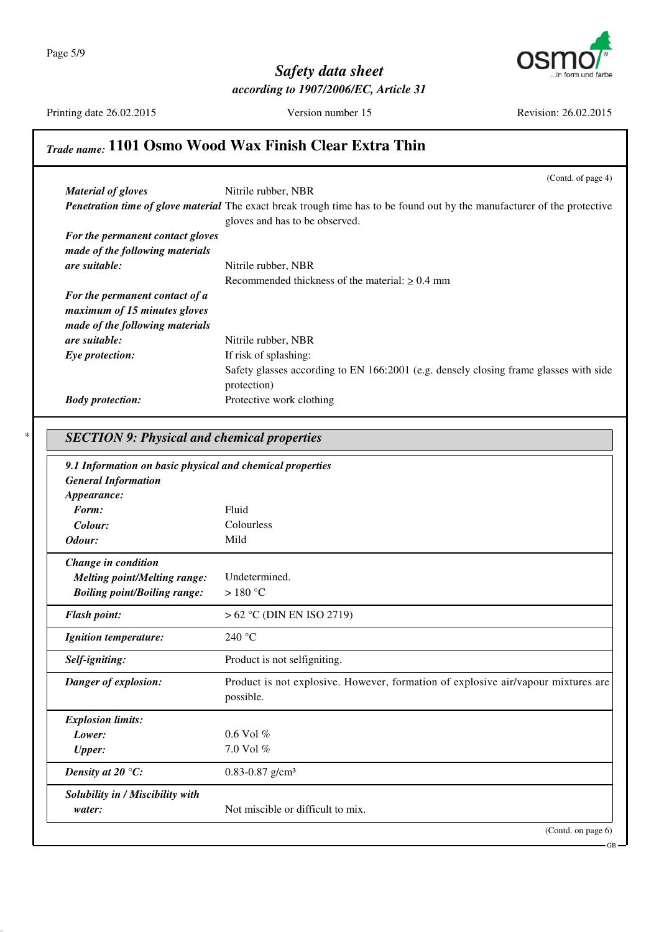

Printing date 26.02.2015 Version number 15 Revision: 26.02.2015

# *Trade name:* **1101 Osmo Wood Wax Finish Clear Extra Thin**

| <b>Material of gloves</b>                                 | (Contd. of page 4)<br>Nitrile rubber, NBR                                                                                |
|-----------------------------------------------------------|--------------------------------------------------------------------------------------------------------------------------|
|                                                           | Penetration time of glove material The exact break trough time has to be found out by the manufacturer of the protective |
|                                                           | gloves and has to be observed.                                                                                           |
| For the permanent contact gloves                          |                                                                                                                          |
| made of the following materials                           |                                                                                                                          |
| are suitable:                                             | Nitrile rubber, NBR                                                                                                      |
|                                                           | Recommended thickness of the material: $\geq 0.4$ mm                                                                     |
| For the permanent contact of a                            |                                                                                                                          |
| maximum of 15 minutes gloves                              |                                                                                                                          |
| made of the following materials                           |                                                                                                                          |
| are suitable:                                             | Nitrile rubber, NBR                                                                                                      |
| Eye protection:                                           | If risk of splashing:                                                                                                    |
|                                                           | Safety glasses according to EN 166:2001 (e.g. densely closing frame glasses with side<br>protection)                     |
| <b>Body protection:</b>                                   | Protective work clothing                                                                                                 |
|                                                           |                                                                                                                          |
|                                                           |                                                                                                                          |
| <b>SECTION 9: Physical and chemical properties</b>        |                                                                                                                          |
| 9.1 Information on basic physical and chemical properties |                                                                                                                          |
| <b>General Information</b>                                |                                                                                                                          |
| Appearance:                                               |                                                                                                                          |
| Form:                                                     | Fluid                                                                                                                    |
| Colour:                                                   | Colourless                                                                                                               |
| Odour:                                                    | Mild                                                                                                                     |
| Change in condition                                       |                                                                                                                          |
| <b>Melting point/Melting range:</b>                       | Undetermined.                                                                                                            |
| <b>Boiling point/Boiling range:</b>                       | $>180^{\circ}$ C                                                                                                         |
| <b>Flash point:</b>                                       | $> 62$ °C (DIN EN ISO 2719)                                                                                              |
|                                                           | 240 °C                                                                                                                   |
| <b>Ignition temperature:</b>                              |                                                                                                                          |
| Self-igniting:                                            | Product is not selfigniting.                                                                                             |
| Danger of explosion:                                      | Product is not explosive. However, formation of explosive air/vapour mixtures are                                        |
|                                                           | possible.                                                                                                                |
|                                                           |                                                                                                                          |
|                                                           |                                                                                                                          |
| <b>Explosion limits:</b><br>Lower:                        | $0.6$ Vol $\%$                                                                                                           |
| <b>Upper:</b>                                             | 7.0 Vol %                                                                                                                |
| Density at 20 $\,^{\circ}$ C:                             | $0.83 - 0.87$ g/cm <sup>3</sup>                                                                                          |
|                                                           |                                                                                                                          |
| Solubility in / Miscibility with<br>water:                | Not miscible or difficult to mix.                                                                                        |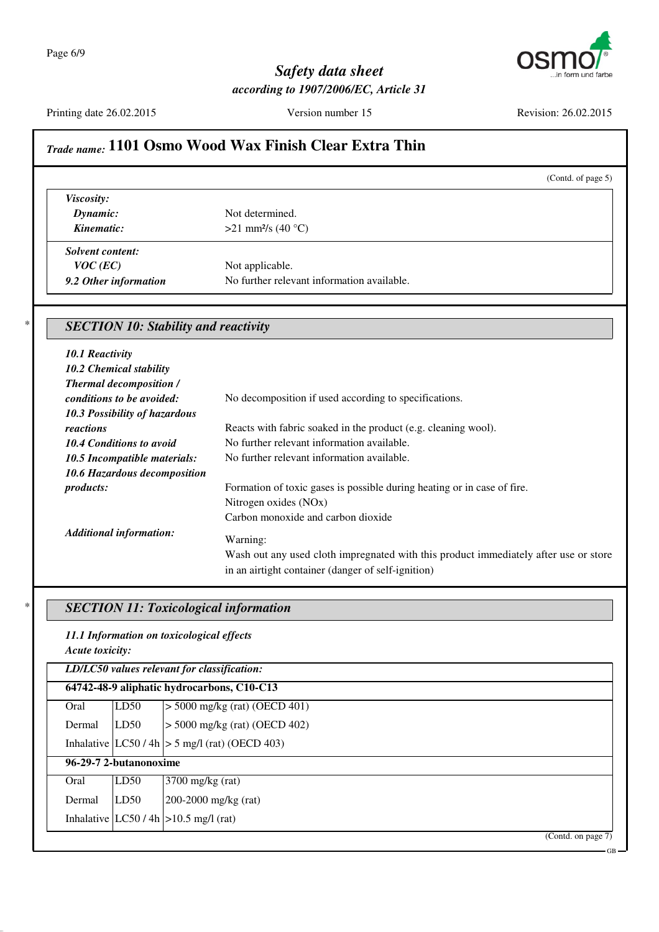

Printing date 26.02.2015 Version number 15 Revision: 26.02.2015

GB

# *Trade name:* **1101 Osmo Wood Wax Finish Clear Extra Thin**

|                                             |                                            | (Contd. of page 5) |
|---------------------------------------------|--------------------------------------------|--------------------|
| Viscosity:                                  |                                            |                    |
| Dynamic:                                    | Not determined.                            |                    |
| Kinematic:                                  | >21 mm <sup>2</sup> /s (40 °C)             |                    |
| <b>Solvent content:</b>                     |                                            |                    |
| $VOC$ (EC)                                  | Not applicable.                            |                    |
| 9.2 Other information                       | No further relevant information available. |                    |
| <b>SECTION 10: Stability and reactivity</b> |                                            |                    |
| <b>10.1 Reactivity</b>                      |                                            |                    |
|                                             |                                            |                    |
| 10.2 Chemical stability                     |                                            |                    |

| <b>Thermal decomposition /</b>  |                                                                                      |
|---------------------------------|--------------------------------------------------------------------------------------|
| conditions to be avoided:       | No decomposition if used according to specifications.                                |
| 10.3 Possibility of hazardous   |                                                                                      |
| reactions                       | Reacts with fabric soaked in the product (e.g. cleaning wool).                       |
| <b>10.4 Conditions to avoid</b> | No further relevant information available.                                           |
| 10.5 Incompatible materials:    | No further relevant information available.                                           |
| 10.6 Hazardous decomposition    |                                                                                      |
| <i>products:</i>                | Formation of toxic gases is possible during heating or in case of fire.              |
|                                 | Nitrogen oxides (NO <sub>x</sub> )                                                   |
|                                 | Carbon monoxide and carbon dioxide                                                   |
| <b>Additional information:</b>  | Warning:                                                                             |
|                                 | Wash out any used cloth impregnated with this product immediately after use or store |
|                                 | in an airtight container (danger of self-ignition)                                   |

## \* *SECTION 11: Toxicological information*

*11.1 Information on toxicological effects Acute toxicity:*

*LD/LC50 values relevant for classification:* **64742-48-9 aliphatic hydrocarbons, C10-C13** Oral LD50 > 5000 mg/kg (rat) (OECD 401) Dermal LD50 > 5000 mg/kg (rat) (OECD 402) Inhalative  $|LC50/4h| > 5$  mg/l (rat) (OECD 403) **96-29-7 2-butanonoxime** Oral LD50 3700 mg/kg (rat) Dermal LD50 200-2000 mg/kg (rat) Inhalative  $|LC50/4h| > 10.5$  mg/l (rat) (Contd. on page 7)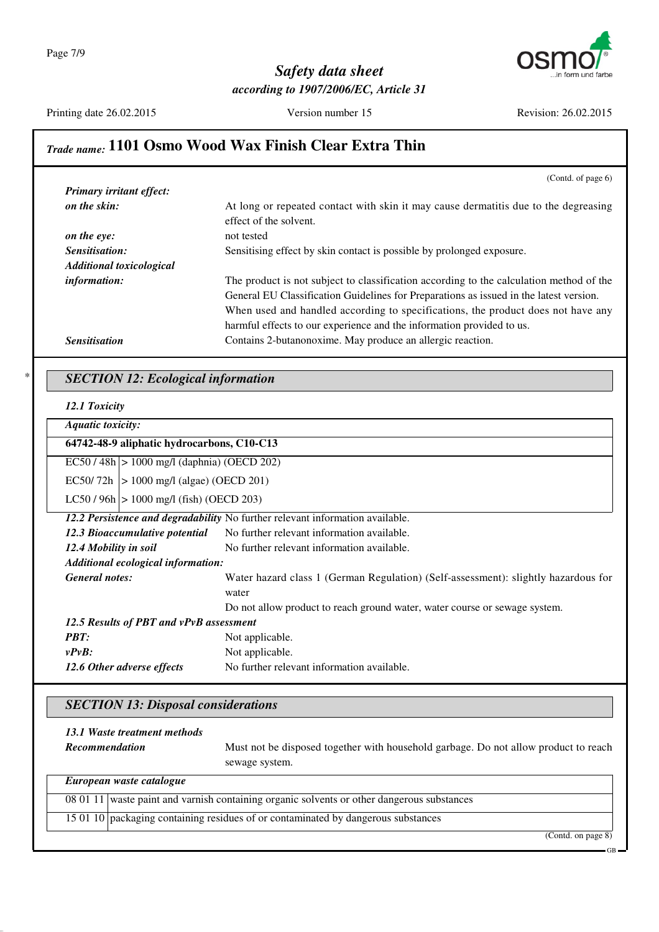

Printing date 26.02.2015 Version number 15 Revision: 26.02.2015

# *Trade name:* **1101 Osmo Wood Wax Finish Clear Extra Thin**

| (Contd. of page $6$ )                                                                   |
|-----------------------------------------------------------------------------------------|
|                                                                                         |
| At long or repeated contact with skin it may cause dermatitis due to the degreasing     |
| effect of the solvent.                                                                  |
| not tested                                                                              |
| Sensitising effect by skin contact is possible by prolonged exposure.                   |
|                                                                                         |
| The product is not subject to classification according to the calculation method of the |
| General EU Classification Guidelines for Preparations as issued in the latest version.  |
| When used and handled according to specifications, the product does not have any        |
| harmful effects to our experience and the information provided to us.                   |
| Contains 2-butanonoxime. May produce an allergic reaction.                              |
|                                                                                         |

#### \* *SECTION 12: Ecological information*

*12.1 Toxicity*

*Aquatic toxicity:*

#### **64742-48-9 aliphatic hydrocarbons, C10-C13**

EC50 / 48h > 1000 mg/l (daphnia) (OECD 202)

EC50/72h  $> 1000$  mg/l (algae) (OECD 201)

 $LC50 / 96h$  > 1000 mg/l (fish) (OECD 203)

|                                         | 12.2 Persistence and degradability No further relevant information available.               |
|-----------------------------------------|---------------------------------------------------------------------------------------------|
| 12.3 Bioaccumulative potential          | No further relevant information available.                                                  |
| 12.4 Mobility in soil                   | No further relevant information available.                                                  |
| Additional ecological information:      |                                                                                             |
| <b>General notes:</b>                   | Water hazard class 1 (German Regulation) (Self-assessment): slightly hazardous for<br>water |
|                                         | Do not allow product to reach ground water, water course or sewage system.                  |
| 12.5 Results of PBT and vPvB assessment |                                                                                             |
| <b>PBT:</b>                             | Not applicable.                                                                             |
| vPvB:                                   | Not applicable.                                                                             |
| 12.6 Other adverse effects              | No further relevant information available.                                                  |

## *SECTION 13: Disposal considerations*

| 13.1 Waste treatment methods<br><b>Recommendation</b>                             | Must not be disposed together with household garbage. Do not allow product to reach<br>sewage system. |
|-----------------------------------------------------------------------------------|-------------------------------------------------------------------------------------------------------|
| European waste catalogue                                                          |                                                                                                       |
|                                                                                   | 08 01 11 waste paint and varnish containing organic solvents or other dangerous substances            |
| 15 01 10 packaging containing residues of or contaminated by dangerous substances |                                                                                                       |

(Contd. on page 8)

GB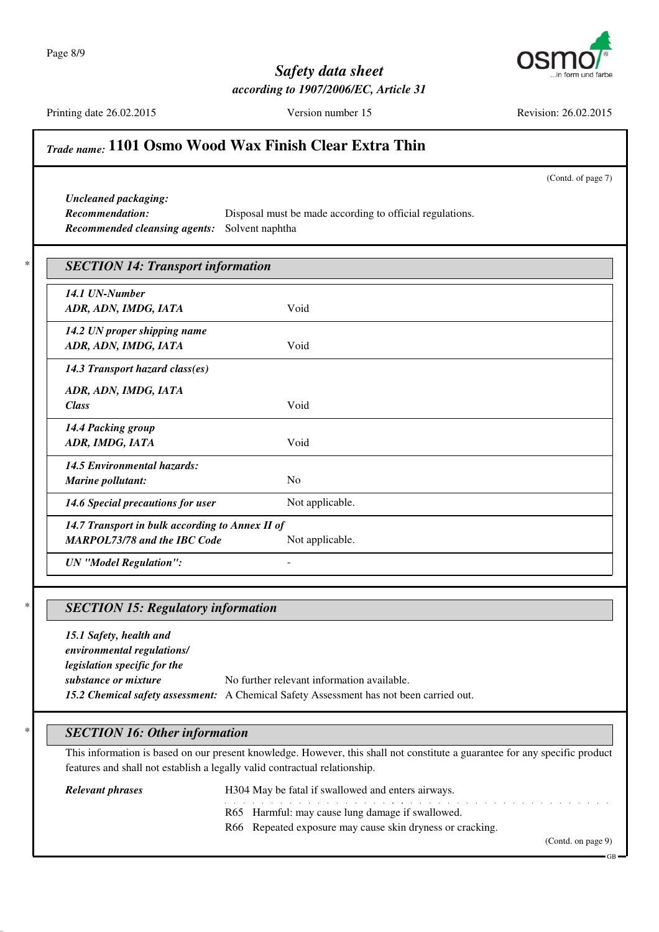Page 8/9



## *Safety data sheet according to 1907/2006/EC, Article 31*

Printing date 26.02.2015 Version number 15 Revision: 26.02.2015

# *Trade name:* **1101 Osmo Wood Wax Finish Clear Extra Thin**

(Contd. of page 7)

*Uncleaned packaging: Recommended cleansing agents:* Solvent naphtha

*Recommendation:* Disposal must be made according to official regulations.

| 14.1 UN-Number                                  |                 |
|-------------------------------------------------|-----------------|
| ADR, ADN, IMDG, IATA                            | Void            |
| 14.2 UN proper shipping name                    |                 |
| ADR, ADN, IMDG, IATA                            | Void            |
| 14.3 Transport hazard class(es)                 |                 |
| ADR, ADN, IMDG, IATA                            |                 |
| <b>Class</b>                                    | Void            |
| 14.4 Packing group                              |                 |
| ADR, IMDG, IATA                                 | Void            |
| <b>14.5 Environmental hazards:</b>              |                 |
| Marine pollutant:                               | N <sub>o</sub>  |
| 14.6 Special precautions for user               | Not applicable. |
| 14.7 Transport in bulk according to Annex II of |                 |
| <b>MARPOL73/78 and the IBC Code</b>             | Not applicable. |

## \* *SECTION 15: Regulatory information*

*15.1 Safety, health and environmental regulations/ legislation specific for the substance or mixture* No further relevant information available. *15.2 Chemical safety assessment:* A Chemical Safety Assessment has not been carried out.

## \* *SECTION 16: Other information*

This information is based on our present knowledge. However, this shall not constitute a guarantee for any specific product features and shall not establish a legally valid contractual relationship.

#### *Relevant phrases* H304 May be fatal if swallowed and enters airways.

- a construction of the construction of the construction of the construction of the construction of the construction of the construction of the construction of the construction of the construction of the construction of the R65 Harmful: may cause lung damage if swallowed.
- R66 Repeated exposure may cause skin dryness or cracking.

(Contd. on page 9)